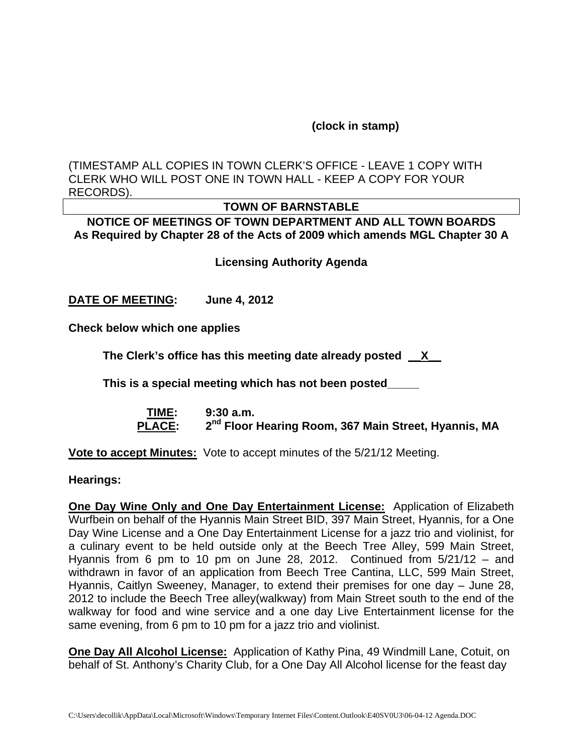## **(clock in stamp)**

(TIMESTAMP ALL COPIES IN TOWN CLERK'S OFFICE - LEAVE 1 COPY WITH CLERK WHO WILL POST ONE IN TOWN HALL - KEEP A COPY FOR YOUR RECORDS).

## **TOWN OF BARNSTABLE**

**NOTICE OF MEETINGS OF TOWN DEPARTMENT AND ALL TOWN BOARDS As Required by Chapter 28 of the Acts of 2009 which amends MGL Chapter 30 A** 

**Licensing Authority Agenda**

**DATE OF MEETING: June 4, 2012** 

**Check below which one applies** 

**The Clerk's office has this meeting date already posted \_\_X\_\_** 

**This is a special meeting which has not been posted\_\_\_\_\_** 

 **TIME: 9:30 a.m. PLACE: 2nd Floor Hearing Room, 367 Main Street, Hyannis, MA**

**Vote to accept Minutes:** Vote to accept minutes of the 5/21/12 Meeting.

**Hearings:** 

**One Day Wine Only and One Day Entertainment License:** Application of Elizabeth Wurfbein on behalf of the Hyannis Main Street BID, 397 Main Street, Hyannis, for a One Day Wine License and a One Day Entertainment License for a jazz trio and violinist, for a culinary event to be held outside only at the Beech Tree Alley, 599 Main Street, Hyannis from 6 pm to 10 pm on June 28, 2012. Continued from 5/21/12 – and withdrawn in favor of an application from Beech Tree Cantina, LLC, 599 Main Street, Hyannis, Caitlyn Sweeney, Manager, to extend their premises for one day – June 28, 2012 to include the Beech Tree alley(walkway) from Main Street south to the end of the walkway for food and wine service and a one day Live Entertainment license for the same evening, from 6 pm to 10 pm for a jazz trio and violinist.

**One Day All Alcohol License:** Application of Kathy Pina, 49 Windmill Lane, Cotuit, on behalf of St. Anthony's Charity Club, for a One Day All Alcohol license for the feast day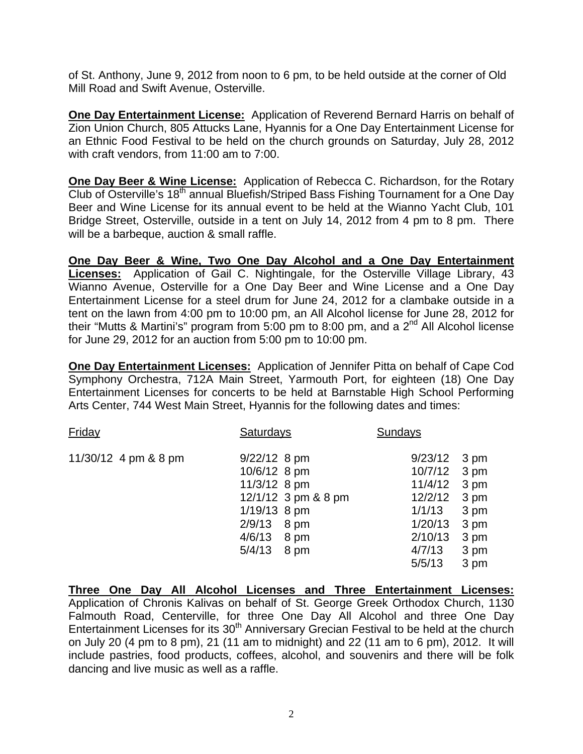of St. Anthony, June 9, 2012 from noon to 6 pm, to be held outside at the corner of Old Mill Road and Swift Avenue, Osterville.

**One Day Entertainment License:** Application of Reverend Bernard Harris on behalf of Zion Union Church, 805 Attucks Lane, Hyannis for a One Day Entertainment License for an Ethnic Food Festival to be held on the church grounds on Saturday, July 28, 2012 with craft vendors, from 11:00 am to 7:00.

**One Day Beer & Wine License:** Application of Rebecca C. Richardson, for the Rotary Club of Osterville's 18<sup>th</sup> annual Bluefish/Striped Bass Fishing Tournament for a One Dav Beer and Wine License for its annual event to be held at the Wianno Yacht Club, 101 Bridge Street, Osterville, outside in a tent on July 14, 2012 from 4 pm to 8 pm. There will be a barbeque, auction & small raffle.

**One Day Beer & Wine, Two One Day Alcohol and a One Day Entertainment Licenses:** Application of Gail C. Nightingale, for the Osterville Village Library, 43 Wianno Avenue, Osterville for a One Day Beer and Wine License and a One Day Entertainment License for a steel drum for June 24, 2012 for a clambake outside in a tent on the lawn from 4:00 pm to 10:00 pm, an All Alcohol license for June 28, 2012 for their "Mutts & Martini's" program from 5:00 pm to 8:00 pm, and a  $2<sup>nd</sup>$  All Alcohol license for June 29, 2012 for an auction from 5:00 pm to 10:00 pm.

**One Day Entertainment Licenses:** Application of Jennifer Pitta on behalf of Cape Cod Symphony Orchestra, 712A Main Street, Yarmouth Port, for eighteen (18) One Day Entertainment Licenses for concerts to be held at Barnstable High School Performing Arts Center, 744 West Main Street, Hyannis for the following dates and times:

| Friday               | <b>Saturdays</b>                                                                                                                            | Sundays                                                                            |                                                              |
|----------------------|---------------------------------------------------------------------------------------------------------------------------------------------|------------------------------------------------------------------------------------|--------------------------------------------------------------|
| 11/30/12 4 pm & 8 pm | $9/22/12$ 8 pm<br>10/6/12 8 pm<br>11/3/12 8 pm<br>12/1/12 3 pm & 8 pm<br>1/19/13 8 pm<br>2/9/13<br>8 pm<br>4/6/13<br>8 pm<br>5/4/13<br>8 pm | 9/23/12<br>10/7/12<br>11/4/12<br>12/2/12<br>1/1/13<br>1/20/13<br>2/10/13<br>4/7/13 | 3 pm<br>3 pm<br>3 pm<br>3 pm<br>3 pm<br>3 pm<br>3 pm<br>3 pm |
|                      |                                                                                                                                             | 5/5/13                                                                             | 3 pm                                                         |

**Three One Day All Alcohol Licenses and Three Entertainment Licenses:** Application of Chronis Kalivas on behalf of St. George Greek Orthodox Church, 1130 Falmouth Road, Centerville, for three One Day All Alcohol and three One Day Entertainment Licenses for its 30<sup>th</sup> Anniversary Grecian Festival to be held at the church on July 20 (4 pm to 8 pm), 21 (11 am to midnight) and 22 (11 am to 6 pm), 2012. It will include pastries, food products, coffees, alcohol, and souvenirs and there will be folk dancing and live music as well as a raffle.